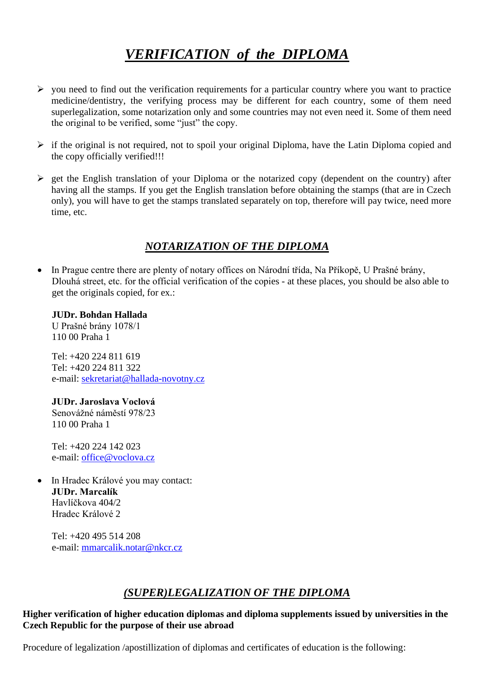# *VERIFICATION of the DIPLOMA*

- $\triangleright$  you need to find out the verification requirements for a particular country where you want to practice medicine/dentistry, the verifying process may be different for each country, some of them need superlegalization, some notarization only and some countries may not even need it. Some of them need the original to be verified, some "just" the copy.
- $\triangleright$  if the original is not required, not to spoil your original Diploma, have the Latin Diploma copied and the copy officially verified!!!
- ➢ get the English translation of your Diploma or the notarized copy (dependent on the country) after having all the stamps. If you get the English translation before obtaining the stamps (that are in Czech only), you will have to get the stamps translated separately on top, therefore will pay twice, need more time, etc.

## *NOTARIZATION OF THE DIPLOMA*

• In Prague centre there are plenty of notary offices on Národní třída, Na Příkopě, U Prašné brány, Dlouhá street, etc. for the official verification of the copies - at these places, you should be also able to get the originals copied, for ex.:

**JUDr. Bohdan Hallada**  U Prašné brány 1078/1 110 00 Praha 1

Tel: +420 224 811 619 Tel: +420 224 811 322 e-mail: [sekretariat@hallada-novotny.cz](mailto:sekretariat@hallada-novotny.cz)

**JUDr. Jaroslava Voclová**  Senovážné náměstí 978/23 110 00 Praha 1

Tel: +420 224 142 023 e-mail: office@voclova.cz

• In Hradec Králové you may contact: **JUDr. Marcalík** Havlíčkova 404/2 Hradec Králové 2

Tel: +420 495 514 208 e-mail: [mmarcalik.notar@nkcr.cz](mailto:mmarcalik.notar@nkcr.cz)

## *(SUPER)LEGALIZATION OF THE DIPLOMA*

**Higher verification of higher education diplomas and diploma supplements issued by universities in the Czech Republic for the purpose of their use abroad**

Procedure of legalization /apostillization of diplomas and certificates of education is the following: